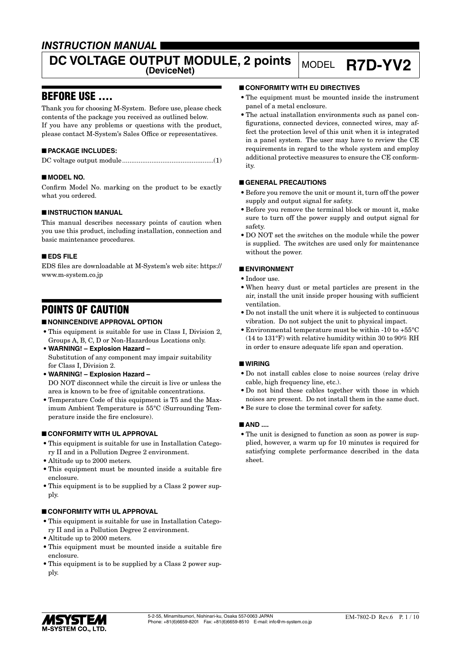# *INSTRUCTION MANUAL*

# **DC VOLTAGE OUTPUT MODULE, 2 points MODEL R7D-YV2**

# BEFORE USE ....

Thank you for choosing M-System. Before use, please check contents of the package you received as outlined below. If you have any problems or questions with the product, please contact M-System's Sales Office or representatives.

## ■ **PACKAGE INCLUDES:**

|--|--|

### ■ **MODEL NO.**

Confirm Model No. marking on the product to be exactly what you ordered.

### ■ **INSTRUCTION MANUAL**

This manual describes necessary points of caution when you use this product, including installation, connection and basic maintenance procedures.

#### ■ **EDS FILE**

EDS files are downloadable at M-System's web site: https:// www.m-system.co.jp

# POINTS OF CAUTION

### ■ **NONINCENDIVE APPROVAL OPTION**

- This equipment is suitable for use in Class I, Division 2, Groups A, B, C, D or Non-Hazardous Locations only.
- **WARNING! Explosion Hazard –** Substitution of any component may impair suitability for Class I, Division 2.
- **WARNING! Explosion Hazard –** DO NOT disconnect while the circuit is live or unless the area is known to be free of ignitable concentrations.
- Temperature Code of this equipment is T5 and the Maximum Ambient Temperature is 55°C (Surrounding Temperature inside the fire enclosure).

### ■ **CONFORMITY WITH UL APPROVAL**

- This equipment is suitable for use in Installation Category II and in a Pollution Degree 2 environment.
- Altitude up to 2000 meters.
- This equipment must be mounted inside a suitable fire enclosure.
- This equipment is to be supplied by a Class 2 power supply.

#### ■ **CONFORMITY WITH UL APPROVAL**

- This equipment is suitable for use in Installation Category II and in a Pollution Degree 2 environment.
- Altitude up to 2000 meters.
- This equipment must be mounted inside a suitable fire enclosure.
- This equipment is to be supplied by a Class 2 power supply.

#### ■ **CONFORMITY WITH EU DIRECTIVES**

- The equipment must be mounted inside the instrument panel of a metal enclosure.
- The actual installation environments such as panel configurations, connected devices, connected wires, may affect the protection level of this unit when it is integrated in a panel system. The user may have to review the CE requirements in regard to the whole system and employ additional protective measures to ensure the CE conformity.

#### ■ **GENERAL PRECAUTIONS**

- Before you remove the unit or mount it, turn off the power supply and output signal for safety.
- Before you remove the terminal block or mount it, make sure to turn off the power supply and output signal for safety.
- DO NOT set the switches on the module while the power is supplied. The switches are used only for maintenance without the power.

### ■ **ENVIRONMENT**

- Indoor use.
- When heavy dust or metal particles are present in the air, install the unit inside proper housing with sufficient ventilation.
- Do not install the unit where it is subjected to continuous vibration. Do not subject the unit to physical impact.
- Environmental temperature must be within -10 to +55°C (14 to 131°F) with relative humidity within 30 to 90% RH in order to ensure adequate life span and operation.

#### ■ **WIRING**

- Do not install cables close to noise sources (relay drive cable, high frequency line, etc.).
- Do not bind these cables together with those in which noises are present. Do not install them in the same duct.
- Be sure to close the terminal cover for safety.

#### ■ **AND** ....

• The unit is designed to function as soon as power is supplied, however, a warm up for 10 minutes is required for satisfying complete performance described in the data sheet.

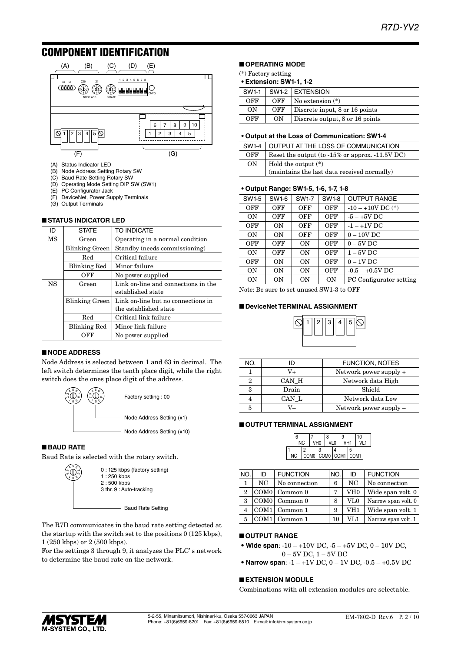# COMPONENT IDENTIFICATION



- (A) Status Indicator LED
- (B) Node Address Setting Rotary SW
- (C) Baud Rate Setting Rotary SW
- (D) Operating Mode Setting DIP SW (SW1)
- PC Configurator Jack
- (F) DeviceNet, Power Supply Terminals (G) Output Terminals

#### ■ **STATUS INDICATOR LED**

| ID        | <b>STATE</b>          | TO INDICATE                                              |
|-----------|-----------------------|----------------------------------------------------------|
| MS        | Green                 | Operating in a normal condition                          |
|           | <b>Blinking Green</b> | Standby (needs commissioning)                            |
|           | Red                   | Critical failure                                         |
|           | <b>Blinking Red</b>   | Minor failure                                            |
|           | OFF                   | No power supplied                                        |
| <b>NS</b> | Green                 | Link on-line and connections in the<br>established state |
|           | Blinking Green        | Link on-line but no connections in                       |
|           |                       | the established state                                    |
|           | Red                   | Critical link failure                                    |
|           | <b>Blinking Red</b>   | Minor link failure                                       |
|           | OFF                   | No power supplied                                        |

#### ■ **NODE ADDRESS**

Node Address is selected between 1 and 63 in decimal. The left switch determines the tenth place digit, while the right switch does the ones place digit of the address.



#### ■ **BAUD RATE**

Baud Rate is selected with the rotary switch.



The R7D communicates in the baud rate setting detected at the startup with the switch set to the positions  $0(125 \text{ kbps})$ , 1 (250 kbps) or 2 (500 kbps).

For the settings 3 through 9, it analyzes the PLC' s network to determine the baud rate on the network.

### ■ **OPERATING MODE**

(\*) Factory setting

#### **• Extension: SW1-1, 1-2**

| SW1-1 |     | SW1-2 EXTENSION                      |
|-------|-----|--------------------------------------|
| OFF   | OFF | $\mathsf{No}\xspace$ extension $(*)$ |
| ON    | OFF | Discrete input, 8 or 16 points       |
| OFF   | ON  | Discrete output, 8 or 16 points      |

#### **• Output at the Loss of Communication: SW1-4**

| SW1-4 | OUTPUT AT THE LOSS OF COMMUNICATION                                                                                            |
|-------|--------------------------------------------------------------------------------------------------------------------------------|
| OFF   | Reset the output (to $-15\%$ or approx. $-11.5V$ DC)                                                                           |
| 0N    | $\left  \begin{array}{c} \text{Hold the output (*)} \\ \text{(maintains the last data received normally)} \end{array} \right $ |

#### **• Output Range: SW1-5, 1-6, 1-7, 1-8**

| SW1-5 | SW1-6     | <b>SW1-7</b> | <b>SW1-8</b> | <b>OUTPUT RANGE</b>     |
|-------|-----------|--------------|--------------|-------------------------|
| OFF   | OFF       | OFF          | <b>OFF</b>   | $-10 - +10V$ DC $(*)$   |
| ON    | OFF       | OFF          | OFF          | $-5 - +5V$ DC           |
| OFF   | <b>ON</b> | OFF          | OFF          | $-1 - +1V$ DC           |
| ON    | OΝ        | OFF          | OFF          | $0 - 10V$ DC            |
| OFF   | OFF       | ON           | OFF          | $0 - 5V$ DC             |
| ON    | OFF       | ON           | OFF          | $1 - 5V$ DC             |
| OFF   | ON        | ON           | OFF          | $0 - 1V$ DC             |
| ON    | <b>ON</b> | ΟN           | OFF          | $-0.5 - +0.5V$ DC       |
| 0N    | <b>ON</b> | ΟN           | 0N           | PC Configurator setting |
|       |           |              |              |                         |

Note: Be sure to set unused SW1-3 to OFF

#### ■ **DeviceNet TERMINAL ASSIGNMENT**

|  | 12   13 | $\mathbf{I}$<br>4 | l I 5 |  |
|--|---------|-------------------|-------|--|
|  |         |                   |       |  |

| NO. | ID    | <b>FUNCTION, NOTES</b>   |
|-----|-------|--------------------------|
|     | V+    | Network power supply +   |
| 2   | CAN H | Network data High        |
| З   | Drain | Shield                   |
|     | CAN L | Network data Low         |
| 5   |       | Network power supply $-$ |

#### ■ **OUTPUT TERMINAL ASSIGNMENT**

|    | 6 |     |                 | 8                                       | 9               | 10  |  |
|----|---|-----|-----------------|-----------------------------------------|-----------------|-----|--|
|    |   | NC. | VH <sub>0</sub> | VL <sub>0</sub>                         | VH <sub>1</sub> | VI1 |  |
|    |   |     |                 |                                         |                 |     |  |
| ΝC |   |     |                 | $ $ COM0 $ $ COM0 $ $ COM1 $ $ COM1 $ $ |                 |     |  |

| NO.            | ID               | <b>FUNCTION</b> | NO. | ID              | <b>FUNCTION</b>     |
|----------------|------------------|-----------------|-----|-----------------|---------------------|
| 1              | NC               | No connection   | 6   | NC              | No connection       |
| $\overline{2}$ |                  | $COM0$ Common 0 |     | VH <sub>0</sub> | Wide span volt. 0   |
| 3              |                  | COM0 Common 0   | 8   | $_{\rm VLO}$    | Narrow span volt. 0 |
| 4              | COM1             | Common 1        | 9   | VH1             | Wide span volt. 1   |
|                | COM <sub>1</sub> | Common 1        | 10  | VL1             | Narrow span volt. 1 |

#### ■ **OUTPUT RANGE**

- **Wide span**:  $-10 +10V$  DC,  $-5 +5V$  DC,  $0 10V$  DC, 0 – 5V DC, 1 – 5V DC
- **Narrow span**:  $-1 +1V$  DC,  $0 1V$  DC,  $-0.5 +0.5V$  DC

#### ■ **EXTENSION MODULE**

Combinations with all extension modules are selectable.

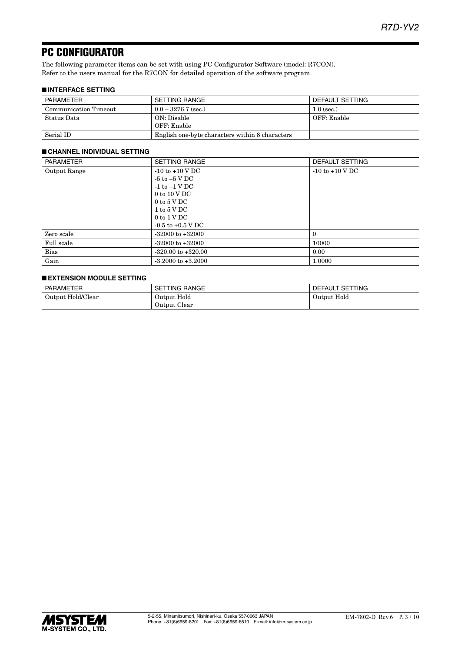# PC CONFIGURATOR

The following parameter items can be set with using PC Configurator Software (model: R7CON). Refer to the users manual for the R7CON for detailed operation of the software program.

### ■ **INTERFACE SETTING**

| PARAMETER             | SETTING RANGE                                   | DEFAULT SETTING |
|-----------------------|-------------------------------------------------|-----------------|
| Communication Timeout | $0.0 - 3276.7$ (sec.)                           | $1.0$ (sec.)    |
| Status Data           | ON: Disable                                     | OFF: Enable     |
|                       | OFF: Enable                                     |                 |
| Serial ID             | English one-byte characters within 8 characters |                 |

#### ■ **CHANNEL INDIVIDUAL SETTING**

| <b>PARAMETER</b> | <b>SETTING RANGE</b>                    | DEFAULT SETTING     |
|------------------|-----------------------------------------|---------------------|
| Output Range     | $-10$ to $+10$ V DC                     | $-10$ to $+10$ V DC |
|                  | -5 to +5 V DC                           |                     |
|                  | $-1$ to $+1$ V DC                       |                     |
|                  | $0 \text{ to } 10 \text{ V} \text{ DC}$ |                     |
|                  | $0$ to $5$ V DC                         |                     |
|                  | 1 to 5 V DC                             |                     |
|                  | $0$ to $1 \text{ V}$ DC                 |                     |
|                  | $-0.5$ to $+0.5$ V DC                   |                     |
| Zero scale       | $-32000$ to $+32000$                    | $\theta$            |
| Full scale       | $-32000$ to $+32000$                    | 10000               |
| Bias             | $-320.00$ to $+320.00$                  | 0.00                |
| Gain             | $-3.2000$ to $+3.2000$                  | 1.0000              |

#### ■ **EXTENSION MODULE SETTING**

| <b>PARAMETER</b>  | <b>SETTING RANGE</b> | DEFAULT SETTING |
|-------------------|----------------------|-----------------|
| Output Hold/Clear | Output Hold          | Output Hold     |
|                   | Output Clear         |                 |

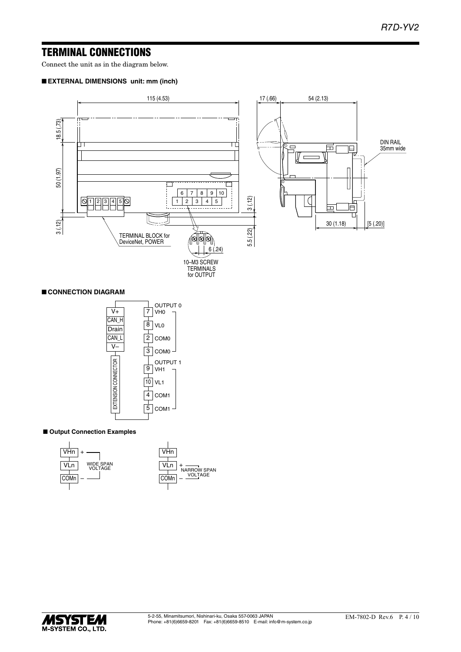# TERMINAL CONNECTIONS

Connect the unit as in the diagram below.

#### ■ **EXTERNAL DIMENSIONS unit: mm (inch)**



### ■ **CONNECTION DIAGRAM**



#### ■ Output Connection Examples



|      | VHn |                                      |
|------|-----|--------------------------------------|
| VI n |     |                                      |
| COMn |     | <b>NARROW SPAN</b><br><b>VOLTAGE</b> |
|      |     |                                      |

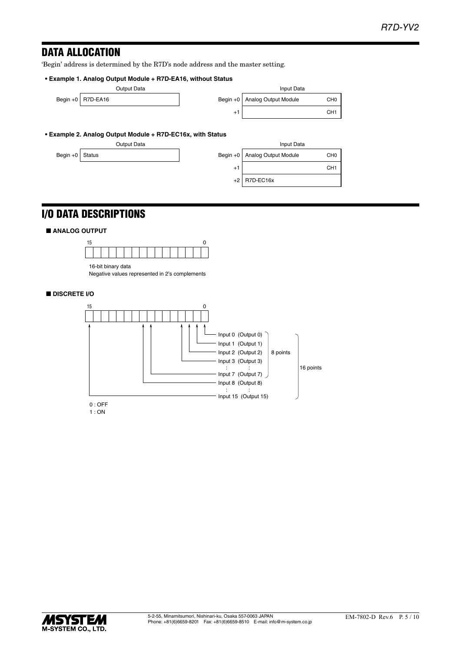# DATA ALLOCATION

'Begin' address is determined by the R7D's node address and the master setting.

#### **• Example 1. Analog Output Module + R7D-EA16, without Status**

|  |                   | Output Data | Input Data                      |                 |
|--|-------------------|-------------|---------------------------------|-----------------|
|  | Begin +0 R7D-EA16 |             | Begin +0   Analog Output Module | CH <sub>0</sub> |
|  |                   |             |                                 | CH <sub>1</sub> |
|  |                   |             |                                 |                 |

|      | Input Data              |                 |
|------|-------------------------|-----------------|
|      | +0 Analog Output Module | CH <sub>0</sub> |
| $+1$ |                         | CH <sub>1</sub> |

#### **• Example 2. Analog Output Module + R7D-EC16x, with Status**

|                 | Output Data |                  | Input Data                      |                 |
|-----------------|-------------|------------------|---------------------------------|-----------------|
| Begin +0 Status |             |                  | Begin +0   Analog Output Module | CH <sub>0</sub> |
|                 |             | $^{\mathrm{+1}}$ |                                 | CH <sub>1</sub> |
|                 |             |                  | $+2$ R7D-FC16x                  |                 |

# +1 CH1 +2  $E$ C16x Input Data

# I/O DATA DESCRIPTIONS

#### ■ **ANALOG OUTPUT**



16-bit binary data Negative values represented in 2's complements

### ■ **DISCRETE I/O**



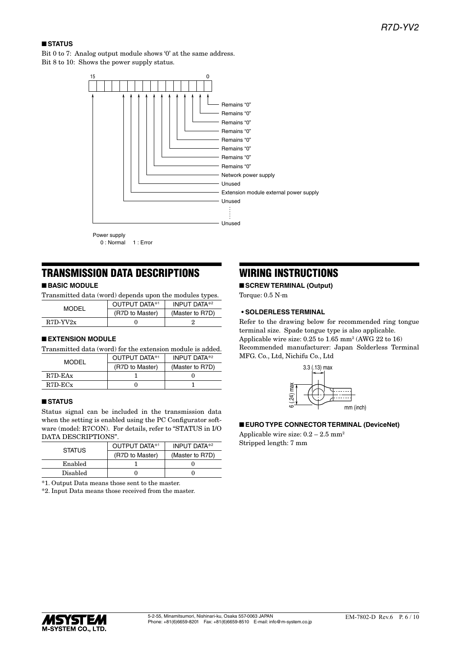### ■ **STATUS**

Bit 0 to 7: Analog output module shows '0' at the same address. Bit 8 to 10: Shows the power supply status.



0 : Normal 1 : Error

# TRANSMISSION DATA DESCRIPTIONS

### ■ **BASIC MODULE**

Transmitted data (word) depends upon the modules types.

| MODEL           |                 |
|-----------------|-----------------|
| (R7D to Master) | (Master to R7D) |
| $R7D-YY2x$      |                 |

#### ■ **EXTENSION MODULE**

Transmitted data (word) for the extension module is added.

| MODEL         | OUTPUT DATA*1   | <b>INPUT DATA*2</b> |
|---------------|-----------------|---------------------|
|               | (R7D to Master) | (Master to R7D)     |
| $R7D$ -EAx    |                 |                     |
| $R7D$ - $ECx$ |                 |                     |

#### ■ **STATUS**

Status signal can be included in the transmission data when the setting is enabled using the PC Configurator software (model: R7CON). For details, refer to "STATUS in I/O DATA DESCRIPTIONS".

| <b>STATUS</b> | OUTPUT DATA*1   | <b>INPUT DATA*2</b> |
|---------------|-----------------|---------------------|
|               | (R7D to Master) | (Master to R7D)     |
| Enabled       |                 |                     |
| Disabled      |                 |                     |

\*1. Output Data means those sent to the master.

\*2. Input Data means those received from the master.

# WIRING INSTRUCTIONS

■ **SCREW TERMINAL (Output)** Torque: 0.5 N·m

#### **• SOLDERLESS TERMINAL**

Refer to the drawing below for recommended ring tongue terminal size. Spade tongue type is also applicable. Applicable wire size:  $0.25$  to  $1.65$  mm<sup>2</sup> (AWG 22 to 16) Recommended manufacturer: Japan Solderless Terminal MFG. Co., Ltd, Nichifu Co., Ltd



#### ■ **EURO TYPE CONNECTOR TERMINAL (DeviceNet)**

Applicable wire size:  $0.2 - 2.5$  mm<sup>2</sup> Stripped length: 7 mm

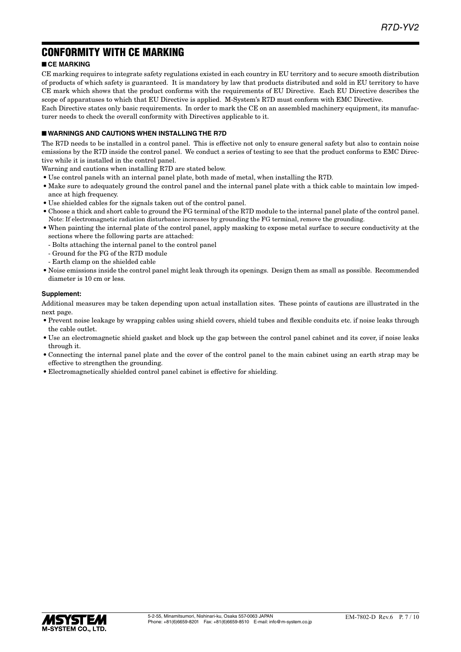# CONFORMITY WITH CE MARKING

### ■ **CE MARKING**

CE marking requires to integrate safety regulations existed in each country in EU territory and to secure smooth distribution of products of which safety is guaranteed. It is mandatory by law that products distributed and sold in EU territory to have CE mark which shows that the product conforms with the requirements of EU Directive. Each EU Directive describes the scope of apparatuses to which that EU Directive is applied. M-System's R7D must conform with EMC Directive.

Each Directive states only basic requirements. In order to mark the CE on an assembled machinery equipment, its manufacturer needs to check the overall conformity with Directives applicable to it.

#### ■ **WARNINGS AND CAUTIONS WHEN INSTALLING THE R7D**

The R7D needs to be installed in a control panel. This is effective not only to ensure general safety but also to contain noise emissions by the R7D inside the control panel. We conduct a series of testing to see that the product conforms to EMC Directive while it is installed in the control panel.

Warning and cautions when installing R7D are stated below.

- Use control panels with an internal panel plate, both made of metal, when installing the R7D.
- Make sure to adequately ground the control panel and the internal panel plate with a thick cable to maintain low impedance at high frequency.
- Use shielded cables for the signals taken out of the control panel.
- Choose a thick and short cable to ground the FG terminal of the R7D module to the internal panel plate of the control panel. Note: If electromagnetic radiation disturbance increases by grounding the FG terminal, remove the grounding.
- When painting the internal plate of the control panel, apply masking to expose metal surface to secure conductivity at the sections where the following parts are attached:
	- Bolts attaching the internal panel to the control panel
	- Ground for the FG of the R7D module
	- Earth clamp on the shielded cable
- Noise emissions inside the control panel might leak through its openings. Design them as small as possible. Recommended diameter is 10 cm or less.

#### **Supplement:**

Additional measures may be taken depending upon actual installation sites. These points of cautions are illustrated in the next page.

- Prevent noise leakage by wrapping cables using shield covers, shield tubes and flexible conduits etc. if noise leaks through the cable outlet.
- Use an electromagnetic shield gasket and block up the gap between the control panel cabinet and its cover, if noise leaks through it.
- Connecting the internal panel plate and the cover of the control panel to the main cabinet using an earth strap may be effective to strengthen the grounding.
- Electromagnetically shielded control panel cabinet is effective for shielding.

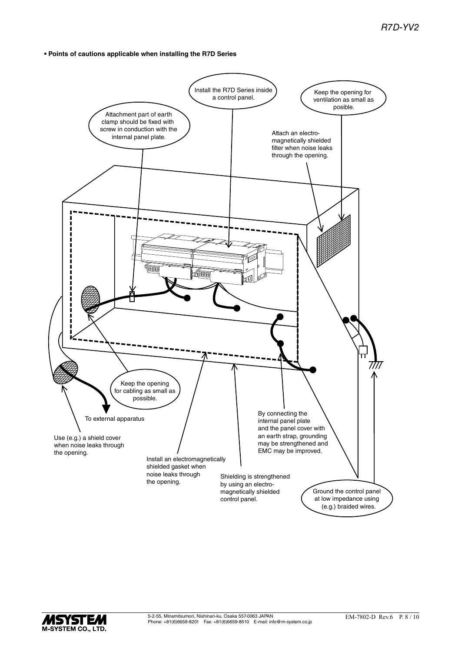**• Points of cautions applicable when installing the R7D Series**



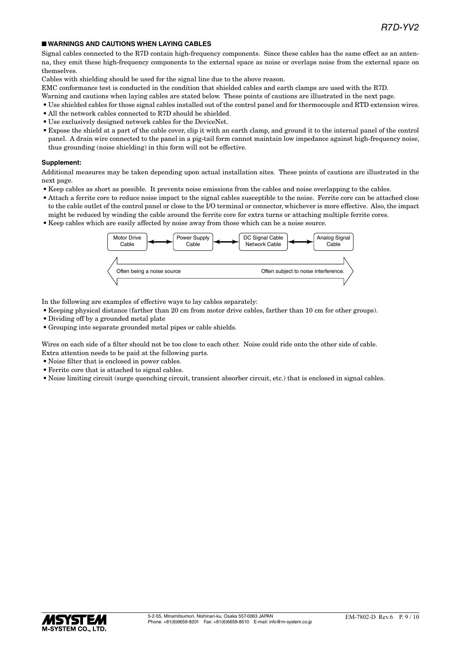#### ■ **WARNINGS AND CAUTIONS WHEN LAYING CABLES**

Signal cables connected to the R7D contain high-frequency components. Since these cables has the same effect as an antenna, they emit these high-frequency components to the external space as noise or overlaps noise from the external space on themselves.

Cables with shielding should be used for the signal line due to the above reason.

EMC conformance test is conducted in the condition that shielded cables and earth clamps are used with the R7D.

- Warning and cautions when laying cables are stated below. These points of cautions are illustrated in the next page.
- Use shielded cables for those signal cables installed out of the control panel and for thermocouple and RTD extension wires.
- All the network cables connected to R7D should be shielded.
- Use exclusively designed network cables for the DeviceNet.
- Expose the shield at a part of the cable cover, clip it with an earth clamp, and ground it to the internal panel of the control panel. A drain wire connected to the panel in a pig-tail form cannot maintain low impedance against high-frequency noise, thus grounding (noise shielding) in this form will not be effective.

#### **Supplement:**

Additional measures may be taken depending upon actual installation sites. These points of cautions are illustrated in the next page.

- Keep cables as short as possible. It prevents noise emissions from the cables and noise overlapping to the cables.
- Attach a ferrite core to reduce noise impact to the signal cables susceptible to the noise. Ferrite core can be attached close to the cable outlet of the control panel or close to the I/O terminal or connector, whichever is more effective. Also, the impact might be reduced by winding the cable around the ferrite core for extra turns or attaching multiple ferrite cores.
- Keep cables which are easily affected by noise away from those which can be a noise source.



In the following are examples of effective ways to lay cables separately:

- Keeping physical distance (farther than 20 cm from motor drive cables, farther than 10 cm for other groups).
- Dividing off by a grounded metal plate
- Grouping into separate grounded metal pipes or cable shields.

Wires on each side of a filter should not be too close to each other. Noise could ride onto the other side of cable. Extra attention needs to be paid at the following parts.

- Noise filter that is enclosed in power cables.
- Ferrite core that is attached to signal cables.
- Noise limiting circuit (surge quenching circuit, transient absorber circuit, etc.) that is enclosed in signal cables.